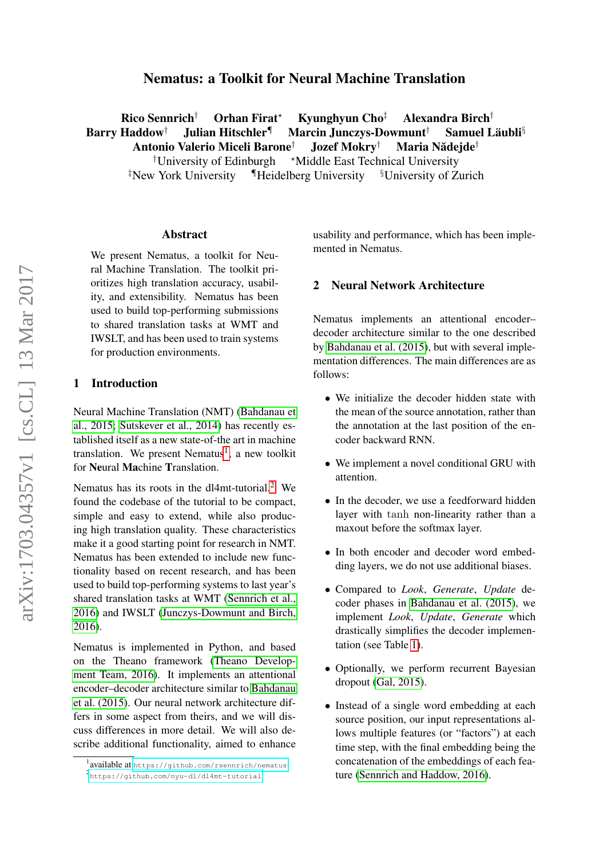# Nematus: a Toolkit for Neural Machine Translation

Rico Sennrich<sup>†</sup> Orhan Firat<sup>\*</sup> Kyunghyun Cho<sup>‡</sup> Alexandra Birch<sup>†</sup> Barry Haddow<sup>†</sup> Julian Hitschler<sup>¶</sup> Marcin Junczys-Dowmunt<sup>†</sup> Samuel Läubli<sup>§</sup> Antonio Valerio Miceli Barone<sup>†</sup> Jozef Mokry<sup>†</sup> Maria Nădejde<sup>†</sup>

<sup> $\dagger$ </sup>University of Edinburgh  $\star$ Middle East Technical University <sup>‡</sup>New York University IHeidelberg University <sup>§</sup>University of Zurich

#### Abstract

We present Nematus, a toolkit for Neural Machine Translation. The toolkit prioritizes high translation accuracy, usability, and extensibility. Nematus has been used to build top-performing submissions to shared translation tasks at WMT and IWSLT, and has been used to train systems for production environments.

#### 1 Introduction

Neural Machine Translation (NMT) [\(Bahdanau et](#page-3-0) [al., 2015;](#page-3-0) [Sutskever et al., 2014\)](#page-3-1) has recently established itself as a new state-of-the art in machine translation. We present Nematus<sup>[1](#page-0-0)</sup>, a new toolkit for Neural Machine Translation.

Nematus has its roots in the dl4mt-tutorial.<sup>[2](#page-0-1)</sup> We found the codebase of the tutorial to be compact, simple and easy to extend, while also producing high translation quality. These characteristics make it a good starting point for research in NMT. Nematus has been extended to include new functionality based on recent research, and has been used to build top-performing systems to last year's shared translation tasks at WMT [\(Sennrich et al.,](#page-3-2) [2016\)](#page-3-2) and IWSLT [\(Junczys-Dowmunt and Birch,](#page-3-3) [2016\)](#page-3-3).

Nematus is implemented in Python, and based on the Theano framework [\(Theano Develop](#page-3-4)[ment Team, 2016\)](#page-3-4). It implements an attentional encoder–decoder architecture similar to [Bahdanau](#page-3-0) [et al. \(2015\)](#page-3-0). Our neural network architecture differs in some aspect from theirs, and we will discuss differences in more detail. We will also describe additional functionality, aimed to enhance usability and performance, which has been implemented in Nematus.

#### 2 Neural Network Architecture

Nematus implements an attentional encoder– decoder architecture similar to the one described by [Bahdanau et al. \(2015\)](#page-3-0), but with several implementation differences. The main differences are as follows:

- We initialize the decoder hidden state with the mean of the source annotation, rather than the annotation at the last position of the encoder backward RNN.
- We implement a novel conditional GRU with attention.
- In the decoder, we use a feedforward hidden layer with tanh non-linearity rather than a maxout before the softmax layer.
- In both encoder and decoder word embedding layers, we do not use additional biases.
- Compared to *Look*, *Generate*, *Update* decoder phases in [Bahdanau et al. \(2015\)](#page-3-0), we implement *Look*, *Update*, *Generate* which drastically simplifies the decoder implementation (see Table [1\)](#page-1-0).
- Optionally, we perform recurrent Bayesian dropout [\(Gal, 2015\)](#page-3-5).
- Instead of a single word embedding at each source position, our input representations allows multiple features (or "factors") at each time step, with the final embedding being the concatenation of the embeddings of each feature [\(Sennrich and Haddow, 2016\)](#page-3-6).

<span id="page-0-1"></span><span id="page-0-0"></span><sup>1</sup> available at <https://github.com/rsennrich/nematus> 2 <https://github.com/nyu-dl/dl4mt-tutorial>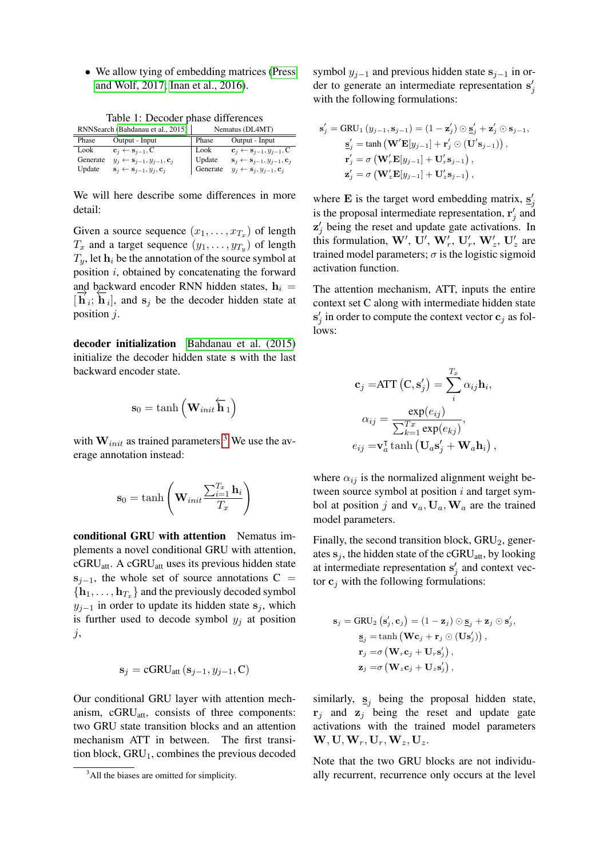• We allow tying of embedding matrices [\(Press](#page-3-7) [and Wolf, 2017;](#page-3-7) [Inan et al., 2016\)](#page-3-8).

<span id="page-1-0"></span>

| Table 1: Decoder phase differences  |                  |
|-------------------------------------|------------------|
| $RNN$ Rearch (Rahdanau et al. 2015) | Nematur (DI AMT) |

| кгутосаген (Ванданай стан, 2019) |                                                               |          |                                                                   |
|----------------------------------|---------------------------------------------------------------|----------|-------------------------------------------------------------------|
| Phase                            | Output - Input                                                | Phase    | Output - Input                                                    |
| Look                             | $\mathbf{c}_i \leftarrow \mathbf{s}_{i-1}, \mathbf{C}$        | Look     | $\mathbf{c}_i \leftarrow \mathbf{s}_{i-1}, y_{i-1}, C$            |
| Generate                         | $y_i \leftarrow s_{i-1}, y_{i-1}, \mathbf{c}_i$               | Update   | $\mathbf{s}_i \leftarrow \mathbf{s}_{i-1}, y_{i-1}, \mathbf{c}_i$ |
| Update                           | $\mathbf{s}_i \leftarrow \mathbf{s}_{i-1}, y_i, \mathbf{c}_i$ | Generate | $y_i \leftarrow s_i, y_{i-1}, c_i$                                |

We will here describe some differences in more detail:

Given a source sequence  $(x_1, \ldots, x_{T_x})$  of length  $T_x$  and a target sequence  $(y_1, \ldots, y_{T_y})$  of length  $T_y$ , let  $h_i$  be the annotation of the source symbol at position  $i$ , obtained by concatenating the forward and backward encoder RNN hidden states,  $h_i =$  $[\vec{h}_i; \vec{h}_i]$ , and  $s_j$  be the decoder hidden state at  $[\vec{h}_i; \vec{h}_i]$ , and  $s_j$  be the decoder hidden state position j.

decoder initialization [Bahdanau et al. \(2015\)](#page-3-0) initialize the decoder hidden state s with the last backward encoder state.

$$
\mathbf{s}_0 = \tanh\left(\mathbf{W}_{\text{init}}\overleftarrow{\mathbf{h}}_1\right)
$$

with  $W_{init}$  as trained parameters.<sup>[3](#page-1-1)</sup> We use the average annotation instead:

$$
\mathbf{s}_0 = \tanh\left(\mathbf{W}_{init} \frac{\sum_{i=1}^{T_x} \mathbf{h}_i}{T_x}\right)
$$

conditional GRU with attention Nematus implements a novel conditional GRU with attention,  $cGRU_{\text{att}}$ . A  $cGRU_{\text{att}}$  uses its previous hidden state  $s_{j-1}$ , the whole set of source annotations C =  ${\bf h}_1, \ldots, {\bf h}_{T_x}$  and the previously decoded symbol  $y_{i-1}$  in order to update its hidden state s<sub>i</sub>, which is further used to decode symbol  $y_i$  at position j,

$$
\mathbf{s}_{j} = \mathbf{cGRU}_{\text{att}}\left(\mathbf{s}_{j-1}, y_{j-1}, \mathbf{C}\right)
$$

Our conditional GRU layer with attention mechanism, cGRU<sub>att</sub>, consists of three components: two GRU state transition blocks and an attention mechanism ATT in between. The first transition block,  $GRU<sub>1</sub>$ , combines the previous decoded symbol  $y_{j-1}$  and previous hidden state  $s_{j-1}$  in order to generate an intermediate representation  $s'_j$ with the following formulations:

$$
\mathbf{s}'_j = \text{GRU}_1 (y_{j-1}, \mathbf{s}_{j-1}) = (1 - \mathbf{z}'_j) \odot \mathbf{s}'_j + \mathbf{z}'_j \odot \mathbf{s}_{j-1},
$$
  
\n
$$
\mathbf{s}'_j = \tanh \left( \mathbf{W}' \mathbf{E}[y_{j-1}] + \mathbf{r}'_j \odot (\mathbf{U}' \mathbf{s}_{j-1}) \right),
$$
  
\n
$$
\mathbf{r}'_j = \sigma \left( \mathbf{W}'_r \mathbf{E}[y_{j-1}] + \mathbf{U}'_r \mathbf{s}_{j-1} \right),
$$
  
\n
$$
\mathbf{z}'_j = \sigma \left( \mathbf{W}'_z \mathbf{E}[y_{j-1}] + \mathbf{U}'_z \mathbf{s}_{j-1} \right),
$$

where **E** is the target word embedding matrix,  $\mathbf{s}'_j$ is the proposal intermediate representation,  $\mathbf{r}'_j$  and  $z'_{j}$  being the reset and update gate activations. In this formulation, W', U', W'<sub>r</sub>, U'<sub>r</sub>, W'<sub>z</sub>, U'<sub>z</sub> are trained model parameters;  $\sigma$  is the logistic sigmoid activation function.

The attention mechanism, ATT, inputs the entire context set C along with intermediate hidden state  $s'_j$  in order to compute the context vector  $c_j$  as follows:

$$
\mathbf{c}_{j} = \text{ATT}(\mathbf{C}, \mathbf{s}'_{j}) = \sum_{i}^{T_{x}} \alpha_{ij} \mathbf{h}_{i},
$$

$$
\alpha_{ij} = \frac{\exp(e_{ij})}{\sum_{k=1}^{T_{x}} \exp(e_{kj})},
$$

$$
e_{ij} = \mathbf{v}_{a}^{\mathsf{T}} \tanh\left(\mathbf{U}_{a} \mathbf{s}'_{j} + \mathbf{W}_{a} \mathbf{h}_{i}\right),
$$

where  $\alpha_{ij}$  is the normalized alignment weight between source symbol at position  $i$  and target symbol at position j and  $v_a$ ,  $U_a$ ,  $W_a$  are the trained model parameters.

Finally, the second transition block,  $GRU<sub>2</sub>$ , generates  $s_j$ , the hidden state of the cGRU<sub>att</sub>, by looking at intermediate representation  $s'_j$  and context vector  $c_i$  with the following formulations:

$$
\mathbf{s}_{j} = \text{GRU}_{2} (\mathbf{s}'_{j}, \mathbf{c}_{j}) = (1 - \mathbf{z}_{j}) \odot \mathbf{s}_{j} + \mathbf{z}_{j} \odot \mathbf{s}'_{j},
$$

$$
\mathbf{s}_{j} = \tanh (\mathbf{W}\mathbf{c}_{j} + \mathbf{r}_{j} \odot (\mathbf{U}\mathbf{s}'_{j})),
$$

$$
\mathbf{r}_{j} = \sigma (\mathbf{W}_{r}\mathbf{c}_{j} + \mathbf{U}_{r}\mathbf{s}'_{j}),
$$

$$
\mathbf{z}_{j} = \sigma (\mathbf{W}_{z}\mathbf{c}_{j} + \mathbf{U}_{z}\mathbf{s}'_{j}),
$$

similarly,  $s_i$  being the proposal hidden state,  $\mathbf{r}_i$  and  $\mathbf{z}_i$  being the reset and update gate activations with the trained model parameters  $\mathbf{W}, \mathbf{U}, \mathbf{W}_r, \mathbf{U}_r, \mathbf{W}_z, \mathbf{U}_z.$ 

Note that the two GRU blocks are not individually recurrent, recurrence only occurs at the level

<span id="page-1-1"></span><sup>&</sup>lt;sup>3</sup>All the biases are omitted for simplicity.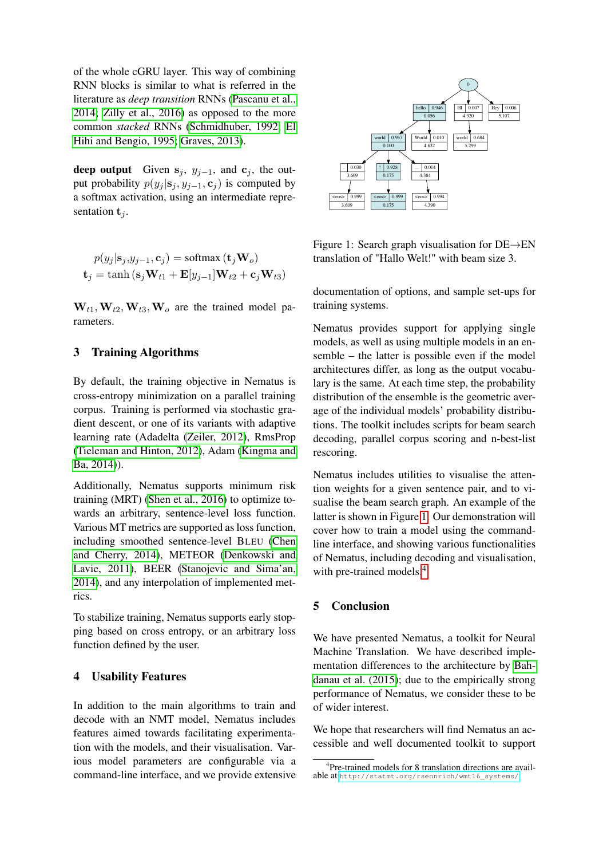of the whole cGRU layer. This way of combining RNN blocks is similar to what is referred in the literature as *deep transition* RNNs [\(Pascanu et al.,](#page-3-9) [2014;](#page-3-9) [Zilly et al., 2016\)](#page-3-10) as opposed to the more common *stacked* RNNs [\(Schmidhuber, 1992;](#page-3-11) [El](#page-3-12) [Hihi and Bengio, 1995;](#page-3-12) [Graves, 2013\)](#page-3-13).

deep output Given  $s_j$ ,  $y_{j-1}$ , and  $c_j$ , the output probability  $p(y_i | \mathbf{s}_i, y_{i-1}, \mathbf{c}_i)$  is computed by a softmax activation, using an intermediate representation  $t_i$ .

$$
p(y_j | \mathbf{s}_j, y_{j-1}, \mathbf{c}_j) = \text{softmax}(\mathbf{t}_j \mathbf{W}_o)
$$
  

$$
\mathbf{t}_j = \tanh(\mathbf{s}_j \mathbf{W}_{t1} + \mathbf{E}[y_{j-1}]\mathbf{W}_{t2} + \mathbf{c}_j \mathbf{W}_{t3})
$$

 $W_{t1}$ ,  $W_{t2}$ ,  $W_{t3}$ ,  $W_o$  are the trained model parameters.

## 3 Training Algorithms

By default, the training objective in Nematus is cross-entropy minimization on a parallel training corpus. Training is performed via stochastic gradient descent, or one of its variants with adaptive learning rate (Adadelta [\(Zeiler, 2012\)](#page-3-14), RmsProp [\(Tieleman and Hinton, 2012\)](#page-3-15), Adam [\(Kingma and](#page-3-16) [Ba, 2014\)](#page-3-16)).

Additionally, Nematus supports minimum risk training (MRT) [\(Shen et al., 2016\)](#page-3-17) to optimize towards an arbitrary, sentence-level loss function. Various MT metrics are supported as loss function, including smoothed sentence-level BLEU [\(Chen](#page-3-18) [and Cherry, 2014\)](#page-3-18), METEOR [\(Denkowski and](#page-3-19) [Lavie, 2011\)](#page-3-19), BEER [\(Stanojevic and Sima'an,](#page-3-20) [2014\)](#page-3-20), and any interpolation of implemented metrics.

To stabilize training, Nematus supports early stopping based on cross entropy, or an arbitrary loss function defined by the user.

# 4 Usability Features

In addition to the main algorithms to train and decode with an NMT model, Nematus includes features aimed towards facilitating experimentation with the models, and their visualisation. Various model parameters are configurable via a command-line interface, and we provide extensive



<span id="page-2-0"></span>Figure 1: Search graph visualisation for DE→EN translation of "Hallo Welt!" with beam size 3.

documentation of options, and sample set-ups for training systems.

Nematus provides support for applying single models, as well as using multiple models in an ensemble – the latter is possible even if the model architectures differ, as long as the output vocabulary is the same. At each time step, the probability distribution of the ensemble is the geometric average of the individual models' probability distributions. The toolkit includes scripts for beam search decoding, parallel corpus scoring and n-best-list rescoring.

Nematus includes utilities to visualise the attention weights for a given sentence pair, and to visualise the beam search graph. An example of the latter is shown in Figure [1.](#page-2-0) Our demonstration will cover how to train a model using the commandline interface, and showing various functionalities of Nematus, including decoding and visualisation, with pre-trained models.<sup>[4](#page-2-1)</sup>

## 5 Conclusion

We have presented Nematus, a toolkit for Neural Machine Translation. We have described implementation differences to the architecture by [Bah](#page-3-0)[danau et al. \(2015\)](#page-3-0); due to the empirically strong performance of Nematus, we consider these to be of wider interest.

We hope that researchers will find Nematus an accessible and well documented toolkit to support

<span id="page-2-1"></span><sup>4</sup> Pre-trained models for 8 translation directions are available at [http://statmt.org/rsennrich/wmt16\\_systems/](http://statmt.org/rsennrich/wmt16_systems/)